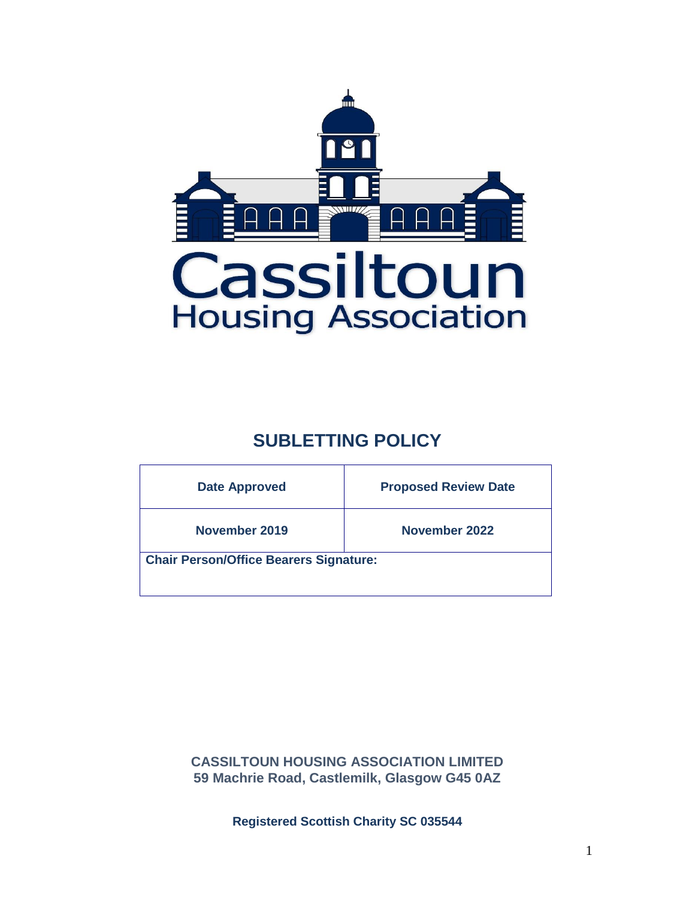

# **SUBLETTING POLICY**

| <b>Date Approved</b>                          | <b>Proposed Review Date</b> |  |  |  |
|-----------------------------------------------|-----------------------------|--|--|--|
| November 2019                                 | November 2022               |  |  |  |
| <b>Chair Person/Office Bearers Signature:</b> |                             |  |  |  |

**CASSILTOUN HOUSING ASSOCIATION LIMITED 59 Machrie Road, Castlemilk, Glasgow G45 0AZ**

**Registered Scottish Charity SC 035544**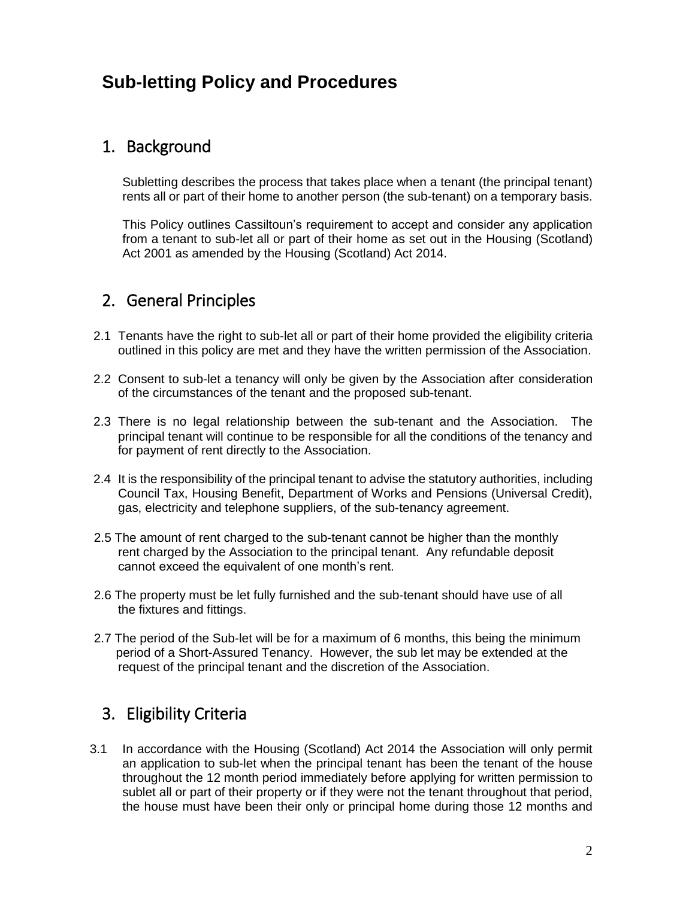# **Sub-letting Policy and Procedures**

## 1. Background

Subletting describes the process that takes place when a tenant (the principal tenant) rents all or part of their home to another person (the sub-tenant) on a temporary basis.

This Policy outlines Cassiltoun's requirement to accept and consider any application from a tenant to sub-let all or part of their home as set out in the Housing (Scotland) Act 2001 as amended by the Housing (Scotland) Act 2014.

## 2. General Principles

- 2.1 Tenants have the right to sub-let all or part of their home provided the eligibility criteria outlined in this policy are met and they have the written permission of the Association.
- 2.2 Consent to sub-let a tenancy will only be given by the Association after consideration of the circumstances of the tenant and the proposed sub-tenant.
- 2.3 There is no legal relationship between the sub-tenant and the Association. The principal tenant will continue to be responsible for all the conditions of the tenancy and for payment of rent directly to the Association.
- 2.4 It is the responsibility of the principal tenant to advise the statutory authorities, including Council Tax, Housing Benefit, Department of Works and Pensions (Universal Credit), gas, electricity and telephone suppliers, of the sub-tenancy agreement.
- 2.5 The amount of rent charged to the sub-tenant cannot be higher than the monthly rent charged by the Association to the principal tenant. Any refundable deposit cannot exceed the equivalent of one month's rent.
- 2.6 The property must be let fully furnished and the sub-tenant should have use of all the fixtures and fittings.
- 2.7 The period of the Sub-let will be for a maximum of 6 months, this being the minimum period of a Short-Assured Tenancy. However, the sub let may be extended at the request of the principal tenant and the discretion of the Association.

## 3. Eligibility Criteria

3.1 In accordance with the Housing (Scotland) Act 2014 the Association will only permit an application to sub-let when the principal tenant has been the tenant of the house throughout the 12 month period immediately before applying for written permission to sublet all or part of their property or if they were not the tenant throughout that period, the house must have been their only or principal home during those 12 months and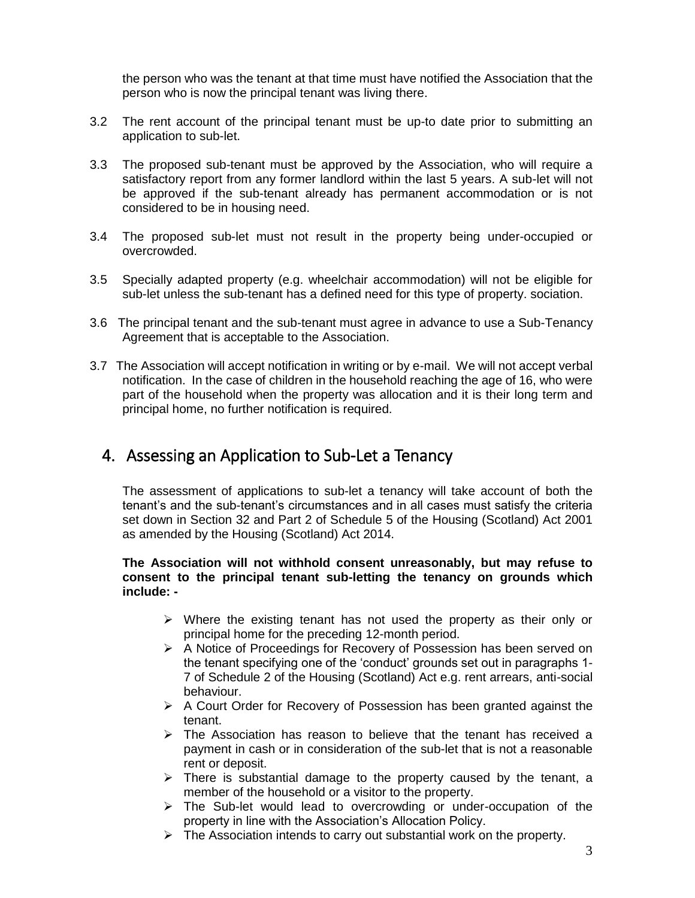the person who was the tenant at that time must have notified the Association that the person who is now the principal tenant was living there.

- 3.2 The rent account of the principal tenant must be up-to date prior to submitting an application to sub-let.
- 3.3 The proposed sub-tenant must be approved by the Association, who will require a satisfactory report from any former landlord within the last 5 years. A sub-let will not be approved if the sub-tenant already has permanent accommodation or is not considered to be in housing need.
- 3.4 The proposed sub-let must not result in the property being under-occupied or overcrowded.
- 3.5 Specially adapted property (e.g. wheelchair accommodation) will not be eligible for sub-let unless the sub-tenant has a defined need for this type of property. sociation.
- 3.6 The principal tenant and the sub-tenant must agree in advance to use a Sub-Tenancy Agreement that is acceptable to the Association.
- 3.7 The Association will accept notification in writing or by e-mail. We will not accept verbal notification. In the case of children in the household reaching the age of 16, who were part of the household when the property was allocation and it is their long term and principal home, no further notification is required.

### 4. Assessing an Application to Sub-Let a Tenancy

The assessment of applications to sub-let a tenancy will take account of both the tenant's and the sub-tenant's circumstances and in all cases must satisfy the criteria set down in Section 32 and Part 2 of Schedule 5 of the Housing (Scotland) Act 2001 as amended by the Housing (Scotland) Act 2014.

#### **The Association will not withhold consent unreasonably, but may refuse to consent to the principal tenant sub-letting the tenancy on grounds which include: -**

- $\triangleright$  Where the existing tenant has not used the property as their only or principal home for the preceding 12-month period.
- ➢ A Notice of Proceedings for Recovery of Possession has been served on the tenant specifying one of the 'conduct' grounds set out in paragraphs 1- 7 of Schedule 2 of the Housing (Scotland) Act e.g. rent arrears, anti-social behaviour.
- $\triangleright$  A Court Order for Recovery of Possession has been granted against the tenant.
- $\triangleright$  The Association has reason to believe that the tenant has received a payment in cash or in consideration of the sub-let that is not a reasonable rent or deposit.
- $\triangleright$  There is substantial damage to the property caused by the tenant, a member of the household or a visitor to the property.
- $\triangleright$  The Sub-let would lead to overcrowding or under-occupation of the property in line with the Association's Allocation Policy.
- ➢ The Association intends to carry out substantial work on the property.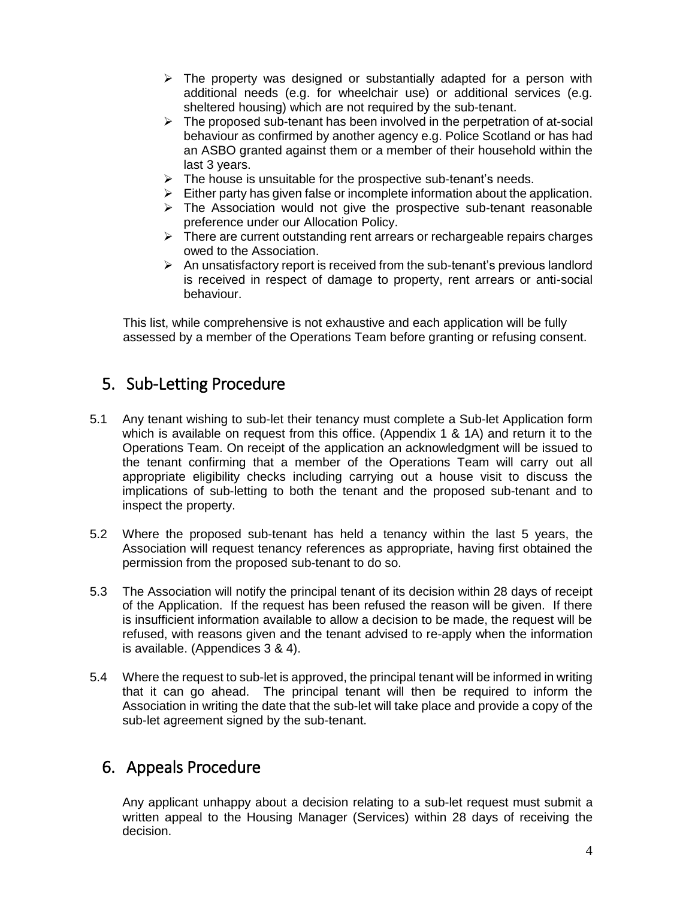- $\triangleright$  The property was designed or substantially adapted for a person with additional needs (e.g. for wheelchair use) or additional services (e.g. sheltered housing) which are not required by the sub-tenant.
- $\triangleright$  The proposed sub-tenant has been involved in the perpetration of at-social behaviour as confirmed by another agency e.g. Police Scotland or has had an ASBO granted against them or a member of their household within the last 3 years.
- $\triangleright$  The house is unsuitable for the prospective sub-tenant's needs.
- $\triangleright$  Either party has given false or incomplete information about the application.
- $\triangleright$  The Association would not give the prospective sub-tenant reasonable preference under our Allocation Policy.
- ➢ There are current outstanding rent arrears or rechargeable repairs charges owed to the Association.
- $\triangleright$  An unsatisfactory report is received from the sub-tenant's previous landlord is received in respect of damage to property, rent arrears or anti-social behaviour.

 This list, while comprehensive is not exhaustive and each application will be fully assessed by a member of the Operations Team before granting or refusing consent.

## 5. Sub-Letting Procedure

- 5.1 Any tenant wishing to sub-let their tenancy must complete a Sub-let Application form which is available on request from this office. (Appendix 1 & 1A) and return it to the Operations Team. On receipt of the application an acknowledgment will be issued to the tenant confirming that a member of the Operations Team will carry out all appropriate eligibility checks including carrying out a house visit to discuss the implications of sub-letting to both the tenant and the proposed sub-tenant and to inspect the property.
- 5.2 Where the proposed sub-tenant has held a tenancy within the last 5 years, the Association will request tenancy references as appropriate, having first obtained the permission from the proposed sub-tenant to do so.
- 5.3 The Association will notify the principal tenant of its decision within 28 days of receipt of the Application. If the request has been refused the reason will be given. If there is insufficient information available to allow a decision to be made, the request will be refused, with reasons given and the tenant advised to re-apply when the information is available. (Appendices 3 & 4).
- 5.4 Where the request to sub-let is approved, the principal tenant will be informed in writing that it can go ahead. The principal tenant will then be required to inform the Association in writing the date that the sub-let will take place and provide a copy of the sub-let agreement signed by the sub-tenant.

## 6. Appeals Procedure

Any applicant unhappy about a decision relating to a sub-let request must submit a written appeal to the Housing Manager (Services) within 28 days of receiving the decision.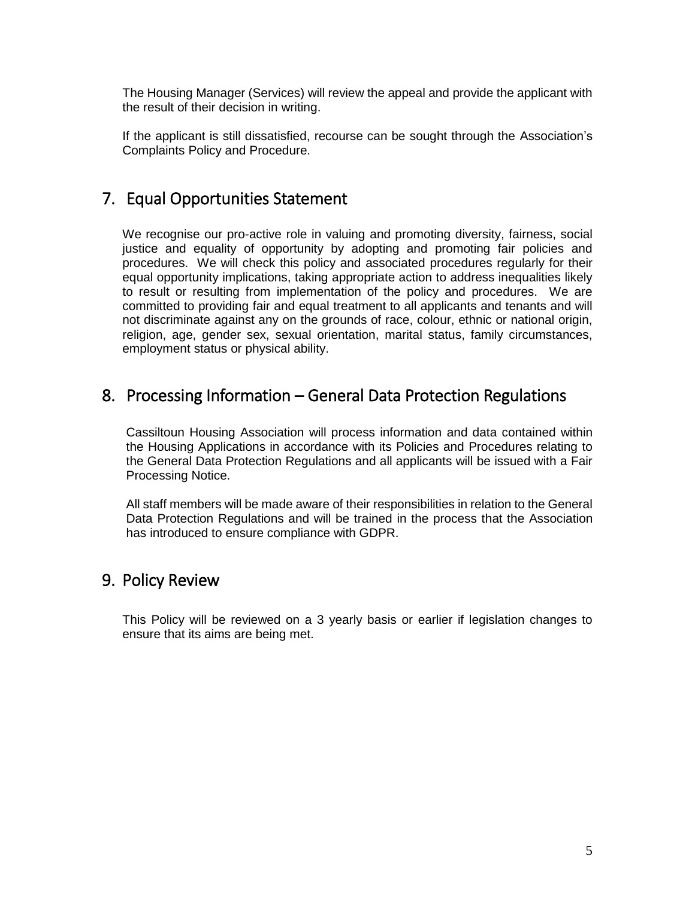The Housing Manager (Services) will review the appeal and provide the applicant with the result of their decision in writing.

If the applicant is still dissatisfied, recourse can be sought through the Association's Complaints Policy and Procedure.

### 7. Equal Opportunities Statement

We recognise our pro-active role in valuing and promoting diversity, fairness, social justice and equality of opportunity by adopting and promoting fair policies and procedures. We will check this policy and associated procedures regularly for their equal opportunity implications, taking appropriate action to address inequalities likely to result or resulting from implementation of the policy and procedures. We are committed to providing fair and equal treatment to all applicants and tenants and will not discriminate against any on the grounds of race, colour, ethnic or national origin, religion, age, gender sex, sexual orientation, marital status, family circumstances, employment status or physical ability.

### 8. Processing Information – General Data Protection Regulations

Cassiltoun Housing Association will process information and data contained within the Housing Applications in accordance with its Policies and Procedures relating to the General Data Protection Regulations and all applicants will be issued with a Fair Processing Notice.

All staff members will be made aware of their responsibilities in relation to the General Data Protection Regulations and will be trained in the process that the Association has introduced to ensure compliance with GDPR.

### 9. Policy Review

This Policy will be reviewed on a 3 yearly basis or earlier if legislation changes to ensure that its aims are being met.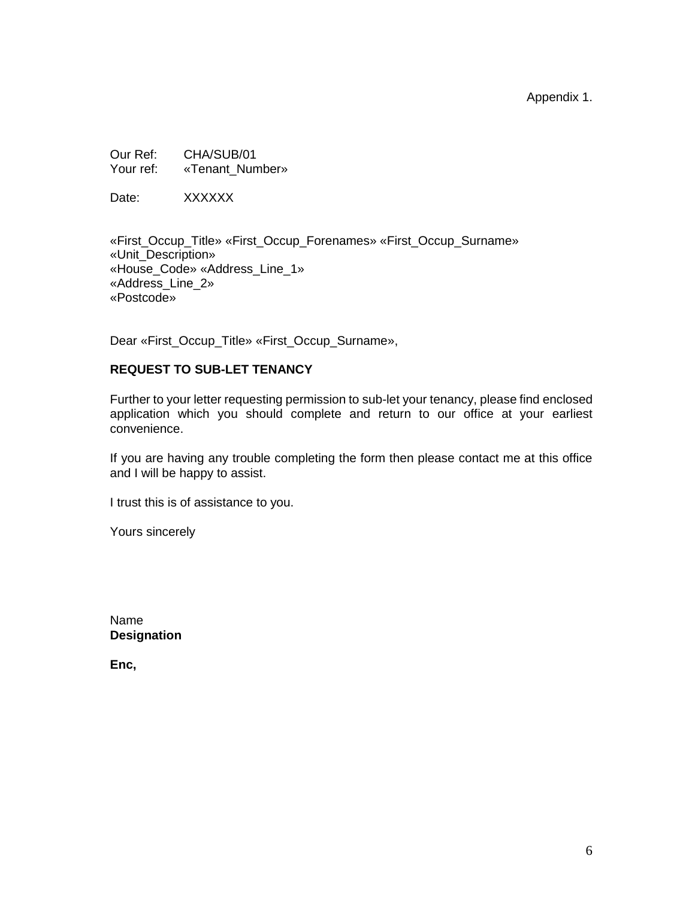Appendix 1.

Our Ref: CHA/SUB/01 Your ref: «Tenant\_Number»

Date: XXXXXX

«First\_Occup\_Title» «First\_Occup\_Forenames» «First\_Occup\_Surname» «Unit\_Description» «House\_Code» «Address\_Line\_1» «Address\_Line\_2» «Postcode»

Dear «First\_Occup\_Title» «First\_Occup\_Surname»,

#### **REQUEST TO SUB-LET TENANCY**

Further to your letter requesting permission to sub-let your tenancy, please find enclosed application which you should complete and return to our office at your earliest convenience.

If you are having any trouble completing the form then please contact me at this office and I will be happy to assist.

I trust this is of assistance to you.

Yours sincerely

Name **Designation**

**Enc,**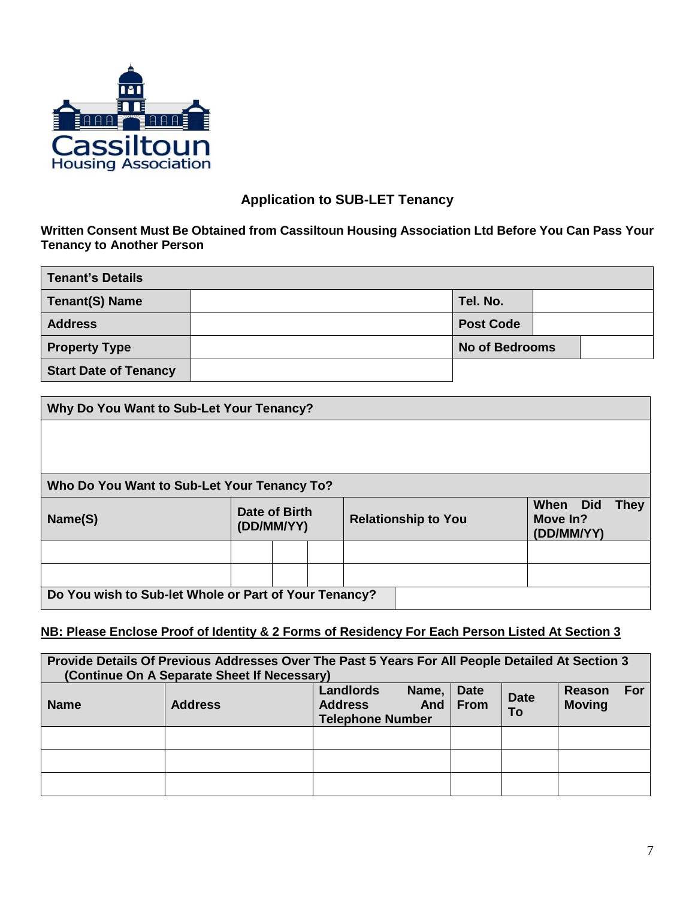

### **Application to SUB-LET Tenancy**

#### **Written Consent Must Be Obtained from Cassiltoun Housing Association Ltd Before You Can Pass Your Tenancy to Another Person**

| Tenant's Details             |  |                       |  |  |  |
|------------------------------|--|-----------------------|--|--|--|
| Tenant(S) Name               |  | Tel. No.              |  |  |  |
| <b>Address</b>               |  | <b>Post Code</b>      |  |  |  |
| <b>Property Type</b>         |  | <b>No of Bedrooms</b> |  |  |  |
| <b>Start Date of Tenancy</b> |  |                       |  |  |  |

| Why Do You Want to Sub-Let Your Tenancy?              |                      |            |  |  |                            |                                    |             |
|-------------------------------------------------------|----------------------|------------|--|--|----------------------------|------------------------------------|-------------|
|                                                       |                      |            |  |  |                            |                                    |             |
| Who Do You Want to Sub-Let Your Tenancy To?           |                      |            |  |  |                            |                                    |             |
| Name(S)                                               | <b>Date of Birth</b> | (DD/MM/YY) |  |  | <b>Relationship to You</b> | When Did<br>Move In?<br>(DD/MM/YY) | <b>They</b> |
|                                                       |                      |            |  |  |                            |                                    |             |
|                                                       |                      |            |  |  |                            |                                    |             |
| Do You wish to Sub-let Whole or Part of Your Tenancy? |                      |            |  |  |                            |                                    |             |

### **NB: Please Enclose Proof of Identity & 2 Forms of Residency For Each Person Listed At Section 3**

| Provide Details Of Previous Addresses Over The Past 5 Years For All People Detailed At Section 3<br>(Continue On A Separate Sheet If Necessary) |                |                                                                 |                             |                   |                                |
|-------------------------------------------------------------------------------------------------------------------------------------------------|----------------|-----------------------------------------------------------------|-----------------------------|-------------------|--------------------------------|
| <b>Name</b>                                                                                                                                     | <b>Address</b> | Name,<br>Landlords<br><b>Address</b><br><b>Telephone Number</b> | <b>Date</b><br>And $ $ From | <b>Date</b><br>To | For<br>Reason<br><b>Moving</b> |
|                                                                                                                                                 |                |                                                                 |                             |                   |                                |
|                                                                                                                                                 |                |                                                                 |                             |                   |                                |
|                                                                                                                                                 |                |                                                                 |                             |                   |                                |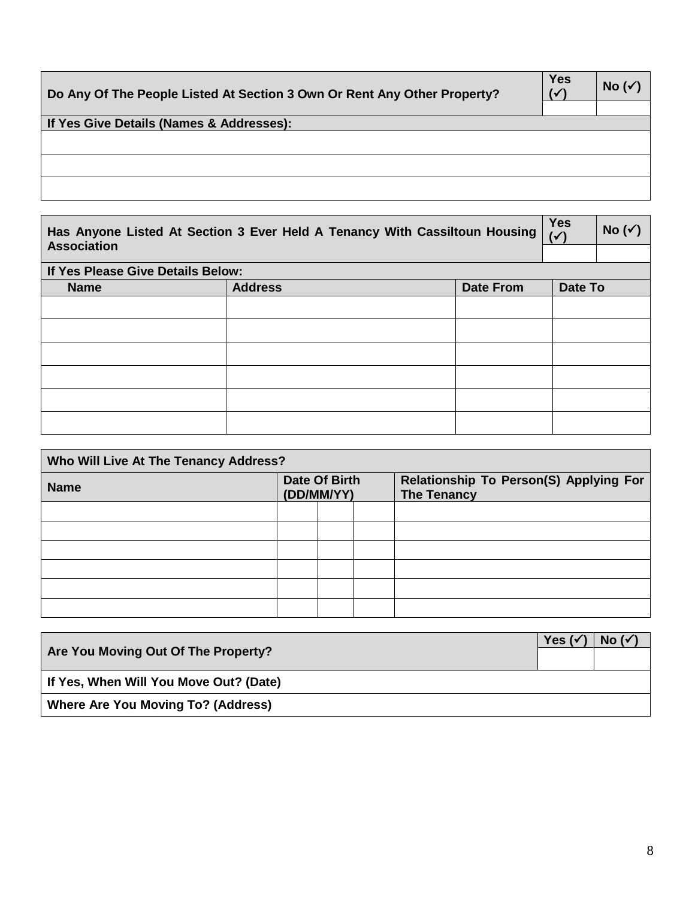| Do Any Of The People Listed At Section 3 Own Or Rent Any Other Property? | <b>Yes</b><br>$(\checkmark)$ | No ( $\checkmark$ |
|--------------------------------------------------------------------------|------------------------------|-------------------|
|                                                                          |                              |                   |
| If Yes Give Details (Names & Addresses):                                 |                              |                   |
|                                                                          |                              |                   |
|                                                                          |                              |                   |
|                                                                          |                              |                   |
|                                                                          |                              |                   |
|                                                                          |                              |                   |

 $\blacksquare$ 

| Has Anyone Listed At Section 3 Ever Held A Tenancy With Cassiltoun Housing $\sqrt{\sqrt{}}$ |  | No $(\checkmark)$ |
|---------------------------------------------------------------------------------------------|--|-------------------|
| <b>Association</b>                                                                          |  |                   |
| I If Yes Please Give Details Relow:                                                         |  |                   |

| <b>II Test rease Oive Details Delow.</b> |                |                  |         |  |  |
|------------------------------------------|----------------|------------------|---------|--|--|
| <b>Name</b>                              | <b>Address</b> | <b>Date From</b> | Date To |  |  |
|                                          |                |                  |         |  |  |
|                                          |                |                  |         |  |  |
|                                          |                |                  |         |  |  |
|                                          |                |                  |         |  |  |
|                                          |                |                  |         |  |  |
|                                          |                |                  |         |  |  |

| Who Will Live At The Tenancy Address? |                             |  |  |  |  |  |  |  |  |                                                              |
|---------------------------------------|-----------------------------|--|--|--|--|--|--|--|--|--------------------------------------------------------------|
| <b>Name</b>                           | Date Of Birth<br>(DD/MM/YY) |  |  |  |  |  |  |  |  | Relationship To Person(S) Applying For<br><b>The Tenancy</b> |
|                                       |                             |  |  |  |  |  |  |  |  |                                                              |
|                                       |                             |  |  |  |  |  |  |  |  |                                                              |
|                                       |                             |  |  |  |  |  |  |  |  |                                                              |
|                                       |                             |  |  |  |  |  |  |  |  |                                                              |
|                                       |                             |  |  |  |  |  |  |  |  |                                                              |
|                                       |                             |  |  |  |  |  |  |  |  |                                                              |

| Are You Moving Out Of The Property?       | Yes ( $\checkmark$ | No ( $\checkmark$ |
|-------------------------------------------|--------------------|-------------------|
| If Yes, When Will You Move Out? (Date)    |                    |                   |
| <b>Where Are You Moving To? (Address)</b> |                    |                   |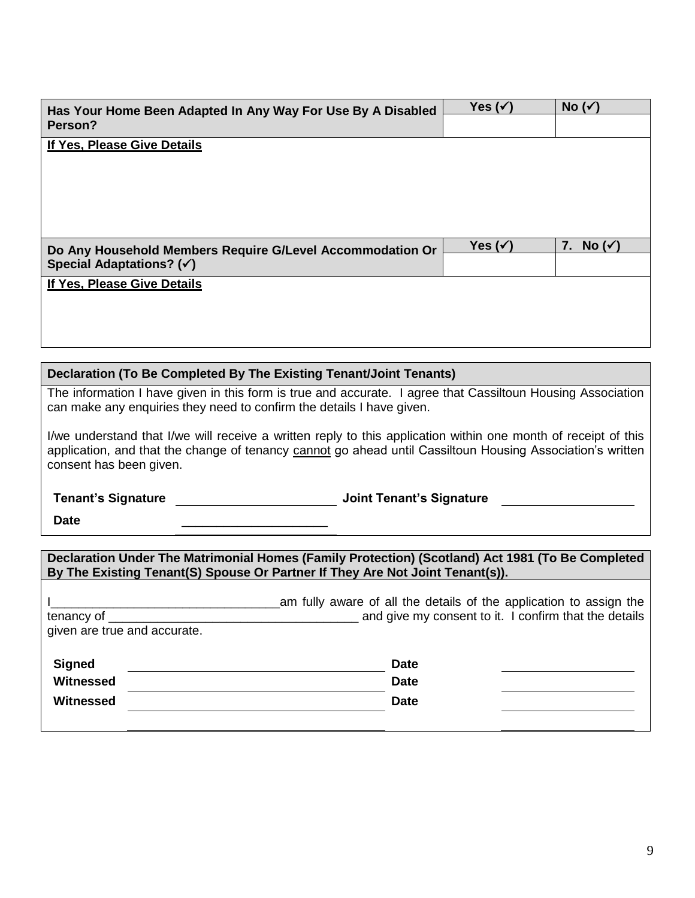| Has Your Home Been Adapted In Any Way For Use By A Disabled                                                    |                                 | Yes $(\checkmark)$                                                 | No $(\checkmark)$    |
|----------------------------------------------------------------------------------------------------------------|---------------------------------|--------------------------------------------------------------------|----------------------|
| Person?                                                                                                        |                                 |                                                                    |                      |
| If Yes, Please Give Details                                                                                    |                                 |                                                                    |                      |
|                                                                                                                |                                 |                                                                    |                      |
|                                                                                                                |                                 |                                                                    |                      |
|                                                                                                                |                                 |                                                                    |                      |
|                                                                                                                |                                 |                                                                    |                      |
| Do Any Household Members Require G/Level Accommodation Or<br>Special Adaptations? (√)                          |                                 | Yes $(\checkmark)$                                                 | 7. No $(\checkmark)$ |
| If Yes, Please Give Details                                                                                    |                                 |                                                                    |                      |
|                                                                                                                |                                 |                                                                    |                      |
|                                                                                                                |                                 |                                                                    |                      |
|                                                                                                                |                                 |                                                                    |                      |
| Declaration (To Be Completed By The Existing Tenant/Joint Tenants)                                             |                                 |                                                                    |                      |
| The information I have given in this form is true and accurate. I agree that Cassiltoun Housing Association    |                                 |                                                                    |                      |
| can make any enquiries they need to confirm the details I have given.                                          |                                 |                                                                    |                      |
| I/we understand that I/we will receive a written reply to this application within one month of receipt of this |                                 |                                                                    |                      |
| application, and that the change of tenancy cannot go ahead until Cassiltoun Housing Association's written     |                                 |                                                                    |                      |
| consent has been given.                                                                                        |                                 |                                                                    |                      |
| <b>Tenant's Signature</b>                                                                                      | <b>Joint Tenant's Signature</b> |                                                                    |                      |
| <b>Date</b>                                                                                                    |                                 |                                                                    |                      |
|                                                                                                                |                                 |                                                                    |                      |
| Declaration Under The Matrimonial Homes (Family Protection) (Scotland) Act 1981 (To Be Completed               |                                 |                                                                    |                      |
| By The Existing Tenant(S) Spouse Or Partner If They Are Not Joint Tenant(s)).                                  |                                 |                                                                    |                      |
|                                                                                                                |                                 | am fully aware of all the details of the application to assign the |                      |
| tenancy of                                                                                                     |                                 | and give my consent to it. I confirm that the details              |                      |
| given are true and accurate.                                                                                   |                                 |                                                                    |                      |
| <b>Signed</b>                                                                                                  | <b>Date</b>                     |                                                                    |                      |
| Witnessed                                                                                                      | <b>Date</b>                     |                                                                    |                      |
| <b>Witnessed</b>                                                                                               | <b>Date</b>                     |                                                                    |                      |
|                                                                                                                |                                 |                                                                    |                      |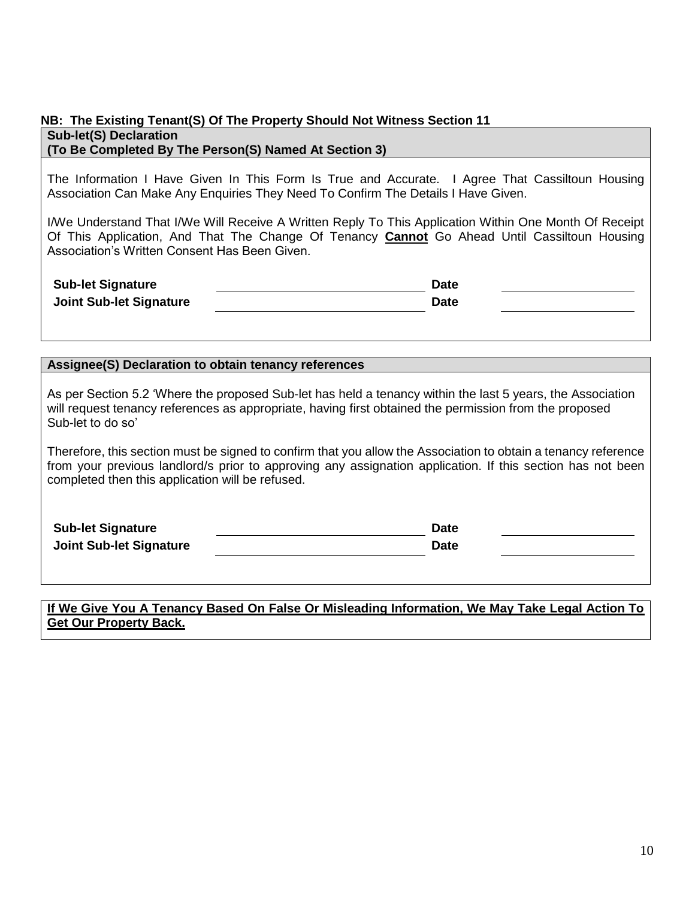#### **NB: The Existing Tenant(S) Of The Property Should Not Witness Section 11 Sub-let(S) Declaration (To Be Completed By The Person(S) Named At Section 3)**

The Information I Have Given In This Form Is True and Accurate. I Agree That Cassiltoun Housing Association Can Make Any Enquiries They Need To Confirm The Details I Have Given.

I/We Understand That I/We Will Receive A Written Reply To This Application Within One Month Of Receipt Of This Application, And That The Change Of Tenancy **Cannot** Go Ahead Until Cassiltoun Housing Association's Written Consent Has Been Given.

| <b>Sub-let Signature</b>       | <b>Date</b> |  |
|--------------------------------|-------------|--|
| <b>Joint Sub-let Signature</b> | <b>Date</b> |  |

#### **Assignee(S) Declaration to obtain tenancy references**

As per Section 5.2 'Where the proposed Sub-let has held a tenancy within the last 5 years, the Association will request tenancy references as appropriate, having first obtained the permission from the proposed Sub-let to do so'

Therefore, this section must be signed to confirm that you allow the Association to obtain a tenancy reference from your previous landlord/s prior to approving any assignation application. If this section has not been completed then this application will be refused.

| <b>Sub-let Signature</b>       | Date        |  |
|--------------------------------|-------------|--|
| <b>Joint Sub-let Signature</b> | <b>Date</b> |  |

#### **If We Give You A Tenancy Based On False Or Misleading Information, We May Take Legal Action To Get Our Property Back.**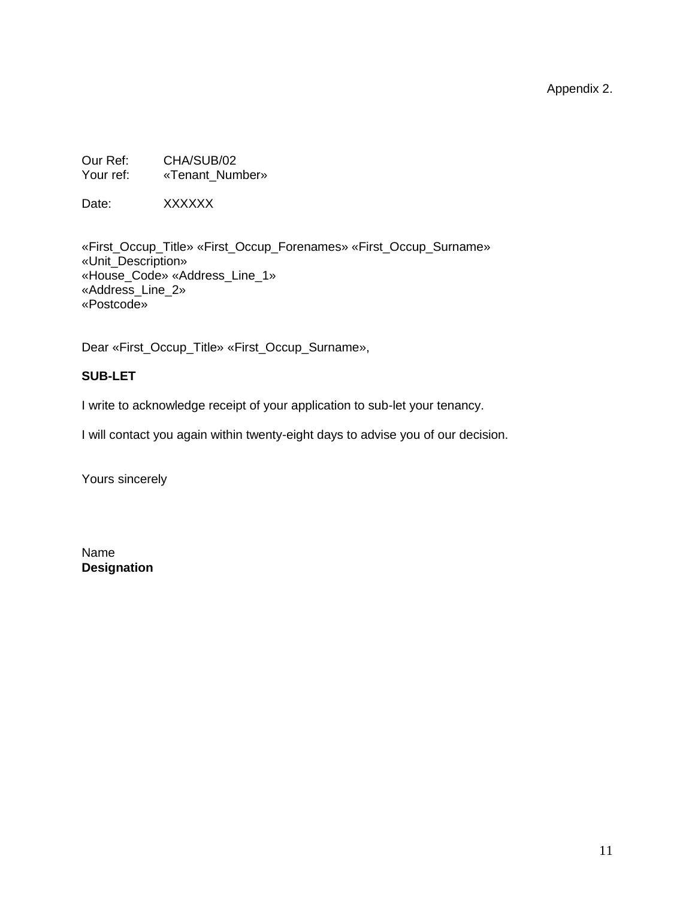Appendix 2.

Our Ref: CHA/SUB/02 Your ref: «Tenant\_Number»

Date: XXXXXX

«First\_Occup\_Title» «First\_Occup\_Forenames» «First\_Occup\_Surname» «Unit\_Description» «House\_Code» «Address\_Line\_1» «Address\_Line\_2» «Postcode»

Dear «First\_Occup\_Title» «First\_Occup\_Surname»,

#### **SUB-LET**

I write to acknowledge receipt of your application to sub-let your tenancy.

I will contact you again within twenty-eight days to advise you of our decision.

Yours sincerely

Name **Designation**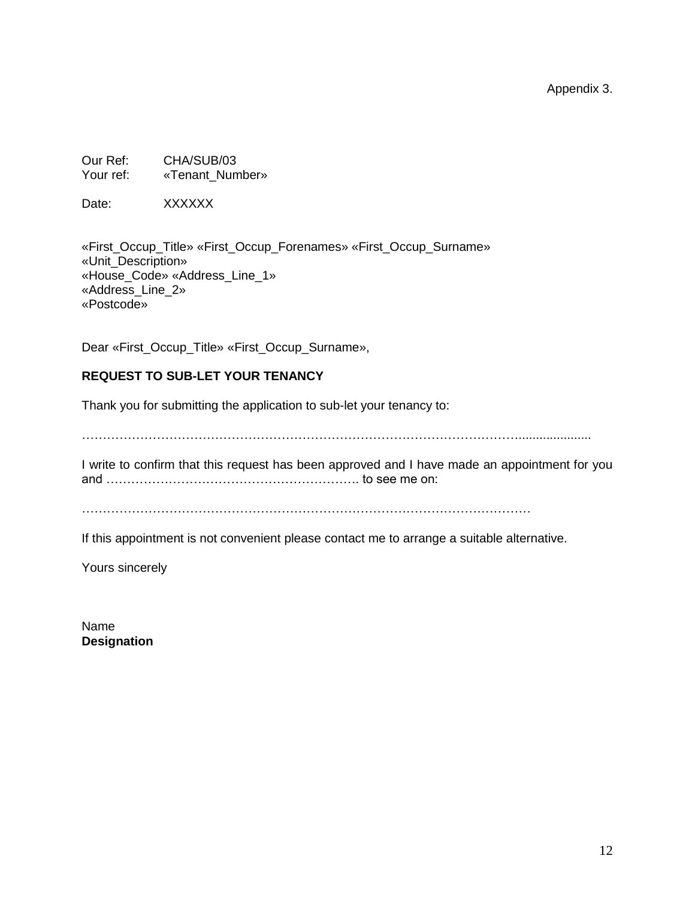Appendix 3.

Our Ref: CHA/SUB/03 Your ref: «Tenant\_Number»

Date: XXXXXX

«First\_Occup\_Title» «First\_Occup\_Forenames» «First\_Occup\_Surname» «Unit\_Description» «House\_Code» «Address\_Line\_1» «Address\_Line\_2» «Postcode»

Dear «First\_Occup\_Title» «First\_Occup\_Surname»,

### **REQUEST TO SUB-LET YOUR TENANCY**

Thank you for submitting the application to sub-let your tenancy to:

…………………………………………………………………………………………….....................

I write to confirm that this request has been approved and I have made an appointment for you and ……………………………………………………. to see me on:

………………………………………………………………………………………………

If this appointment is not convenient please contact me to arrange a suitable alternative.

Yours sincerely

Name **Designation**